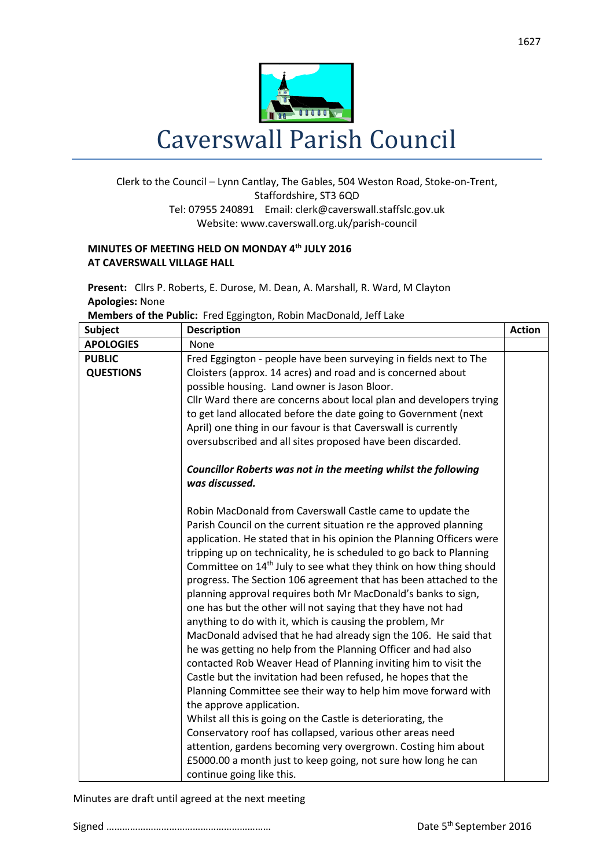

## Clerk to the Council – Lynn Cantlay, The Gables, 504 Weston Road, Stoke-on-Trent, Staffordshire, ST3 6QD Tel: 07955 240891 Email[: clerk@caverswall.staffslc.gov.uk](mailto:clerk@caverswall.staffslc.gov.uk) Website: www.caverswall.org.uk/parish-council

## **MINUTES OF MEETING HELD ON MONDAY 4 th JULY 2016 AT CAVERSWALL VILLAGE HALL**

**Present:** Cllrs P. Roberts, E. Durose, M. Dean, A. Marshall, R. Ward, M Clayton **Apologies:** None

|  |  | Members of the Public: Fred Eggington, Robin MacDonald, Jeff Lake |
|--|--|-------------------------------------------------------------------|
|--|--|-------------------------------------------------------------------|

| <b>Subject</b>   | <b>Description</b>                                                               | <b>Action</b> |
|------------------|----------------------------------------------------------------------------------|---------------|
| <b>APOLOGIES</b> | None                                                                             |               |
| <b>PUBLIC</b>    | Fred Eggington - people have been surveying in fields next to The                |               |
| <b>QUESTIONS</b> | Cloisters (approx. 14 acres) and road and is concerned about                     |               |
|                  | possible housing. Land owner is Jason Bloor.                                     |               |
|                  | Cllr Ward there are concerns about local plan and developers trying              |               |
|                  | to get land allocated before the date going to Government (next                  |               |
|                  | April) one thing in our favour is that Caverswall is currently                   |               |
|                  | oversubscribed and all sites proposed have been discarded.                       |               |
|                  | Councillor Roberts was not in the meeting whilst the following<br>was discussed. |               |
|                  | Robin MacDonald from Caverswall Castle came to update the                        |               |
|                  | Parish Council on the current situation re the approved planning                 |               |
|                  | application. He stated that in his opinion the Planning Officers were            |               |
|                  | tripping up on technicality, he is scheduled to go back to Planning              |               |
|                  | Committee on 14 <sup>th</sup> July to see what they think on how thing should    |               |
|                  | progress. The Section 106 agreement that has been attached to the                |               |
|                  | planning approval requires both Mr MacDonald's banks to sign,                    |               |
|                  | one has but the other will not saying that they have not had                     |               |
|                  | anything to do with it, which is causing the problem, Mr                         |               |
|                  | MacDonald advised that he had already sign the 106. He said that                 |               |
|                  | he was getting no help from the Planning Officer and had also                    |               |
|                  | contacted Rob Weaver Head of Planning inviting him to visit the                  |               |
|                  | Castle but the invitation had been refused, he hopes that the                    |               |
|                  | Planning Committee see their way to help him move forward with                   |               |
|                  | the approve application.                                                         |               |
|                  | Whilst all this is going on the Castle is deteriorating, the                     |               |
|                  | Conservatory roof has collapsed, various other areas need                        |               |
|                  | attention, gardens becoming very overgrown. Costing him about                    |               |
|                  | £5000.00 a month just to keep going, not sure how long he can                    |               |
|                  | continue going like this.                                                        |               |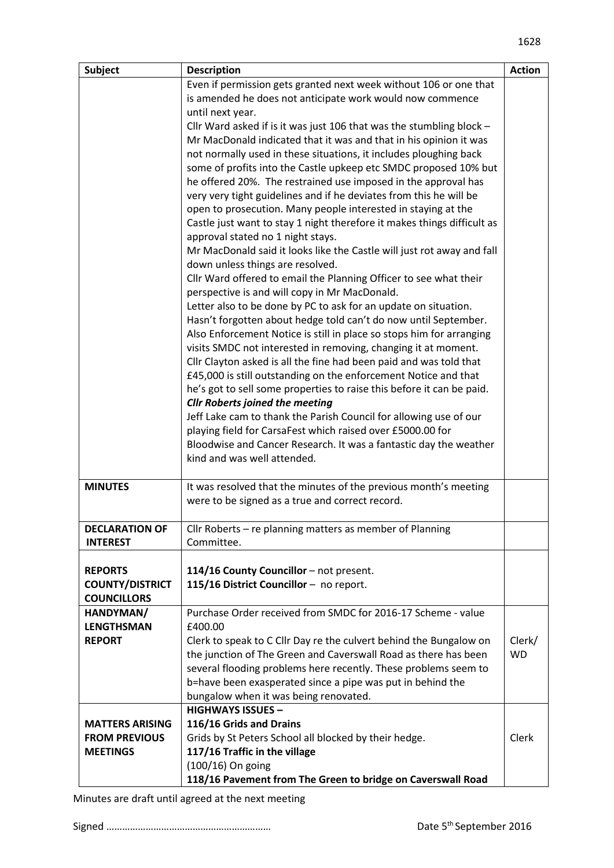| <b>Subject</b>         | <b>Description</b>                                                                               | <b>Action</b> |
|------------------------|--------------------------------------------------------------------------------------------------|---------------|
|                        | Even if permission gets granted next week without 106 or one that                                |               |
|                        | is amended he does not anticipate work would now commence                                        |               |
|                        | until next year.                                                                                 |               |
|                        | Cllr Ward asked if is it was just 106 that was the stumbling block $-$                           |               |
|                        | Mr MacDonald indicated that it was and that in his opinion it was                                |               |
|                        | not normally used in these situations, it includes ploughing back                                |               |
|                        | some of profits into the Castle upkeep etc SMDC proposed 10% but                                 |               |
|                        | he offered 20%. The restrained use imposed in the approval has                                   |               |
|                        | very very tight guidelines and if he deviates from this he will be                               |               |
|                        | open to prosecution. Many people interested in staying at the                                    |               |
|                        | Castle just want to stay 1 night therefore it makes things difficult as                          |               |
|                        | approval stated no 1 night stays.                                                                |               |
|                        | Mr MacDonald said it looks like the Castle will just rot away and fall                           |               |
|                        | down unless things are resolved.                                                                 |               |
|                        | Cllr Ward offered to email the Planning Officer to see what their                                |               |
|                        | perspective is and will copy in Mr MacDonald.                                                    |               |
|                        | Letter also to be done by PC to ask for an update on situation.                                  |               |
|                        | Hasn't forgotten about hedge told can't do now until September.                                  |               |
|                        | Also Enforcement Notice is still in place so stops him for arranging                             |               |
|                        | visits SMDC not interested in removing, changing it at moment.                                   |               |
|                        | Cllr Clayton asked is all the fine had been paid and was told that                               |               |
|                        | £45,000 is still outstanding on the enforcement Notice and that                                  |               |
|                        | he's got to sell some properties to raise this before it can be paid.                            |               |
|                        | <b>Cllr Roberts joined the meeting</b>                                                           |               |
|                        | Jeff Lake cam to thank the Parish Council for allowing use of our                                |               |
|                        | playing field for CarsaFest which raised over £5000.00 for                                       |               |
|                        | Bloodwise and Cancer Research. It was a fantastic day the weather<br>kind and was well attended. |               |
|                        |                                                                                                  |               |
| <b>MINUTES</b>         | It was resolved that the minutes of the previous month's meeting                                 |               |
|                        | were to be signed as a true and correct record.                                                  |               |
| <b>DECLARATION OF</b>  |                                                                                                  |               |
| <b>INTEREST</b>        | Cllr Roberts - re planning matters as member of Planning<br>Committee.                           |               |
|                        |                                                                                                  |               |
| <b>REPORTS</b>         | 114/16 County Councillor - not present.                                                          |               |
| <b>COUNTY/DISTRICT</b> | 115/16 District Councillor - no report.                                                          |               |
| <b>COUNCILLORS</b>     |                                                                                                  |               |
| HANDYMAN/              | Purchase Order received from SMDC for 2016-17 Scheme - value                                     |               |
| <b>LENGTHSMAN</b>      | £400.00                                                                                          |               |
| <b>REPORT</b>          | Clerk to speak to C Cllr Day re the culvert behind the Bungalow on                               | Clerk/        |
|                        | the junction of The Green and Caverswall Road as there has been                                  | <b>WD</b>     |
|                        | several flooding problems here recently. These problems seem to                                  |               |
|                        | b=have been exasperated since a pipe was put in behind the                                       |               |
|                        | bungalow when it was being renovated.                                                            |               |
|                        | <b>HIGHWAYS ISSUES -</b>                                                                         |               |
| <b>MATTERS ARISING</b> | 116/16 Grids and Drains                                                                          |               |
| <b>FROM PREVIOUS</b>   | Grids by St Peters School all blocked by their hedge.                                            | Clerk         |
| <b>MEETINGS</b>        | 117/16 Traffic in the village                                                                    |               |
|                        | (100/16) On going                                                                                |               |
|                        | 118/16 Pavement from The Green to bridge on Caverswall Road                                      |               |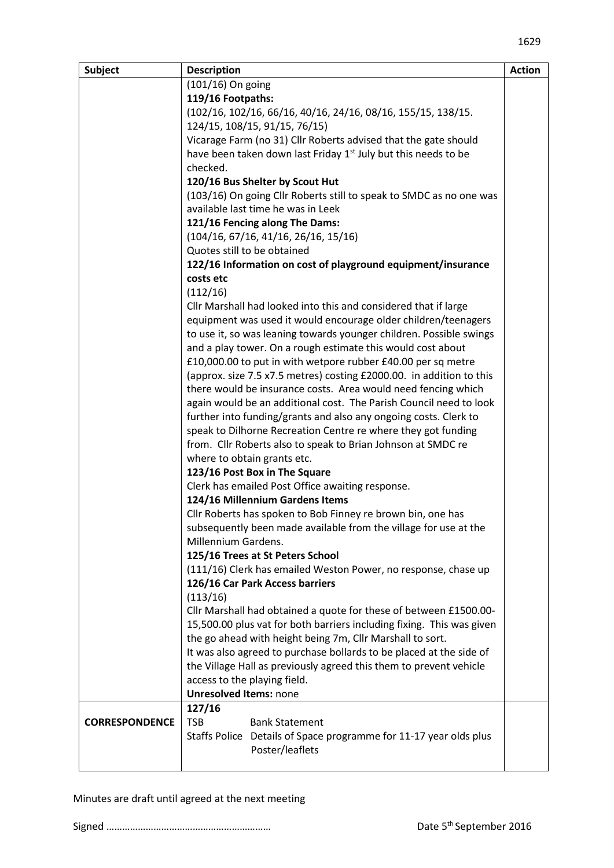| <b>Subject</b>        | <b>Description</b>                                                            | <b>Action</b> |
|-----------------------|-------------------------------------------------------------------------------|---------------|
|                       | $(101/16)$ On going                                                           |               |
|                       | 119/16 Footpaths:                                                             |               |
|                       | (102/16, 102/16, 66/16, 40/16, 24/16, 08/16, 155/15, 138/15.                  |               |
|                       | 124/15, 108/15, 91/15, 76/15)                                                 |               |
|                       | Vicarage Farm (no 31) Cllr Roberts advised that the gate should               |               |
|                       | have been taken down last Friday 1 <sup>st</sup> July but this needs to be    |               |
|                       | checked.                                                                      |               |
|                       | 120/16 Bus Shelter by Scout Hut                                               |               |
|                       | (103/16) On going Cllr Roberts still to speak to SMDC as no one was           |               |
|                       | available last time he was in Leek                                            |               |
|                       | 121/16 Fencing along The Dams:                                                |               |
|                       | (104/16, 67/16, 41/16, 26/16, 15/16)                                          |               |
|                       | Quotes still to be obtained                                                   |               |
|                       | 122/16 Information on cost of playground equipment/insurance<br>costs etc     |               |
|                       | (112/16)                                                                      |               |
|                       | Cllr Marshall had looked into this and considered that if large               |               |
|                       | equipment was used it would encourage older children/teenagers                |               |
|                       | to use it, so was leaning towards younger children. Possible swings           |               |
|                       | and a play tower. On a rough estimate this would cost about                   |               |
|                       | £10,000.00 to put in with wetpore rubber £40.00 per sq metre                  |               |
|                       | (approx. size 7.5 x7.5 metres) costing £2000.00. in addition to this          |               |
|                       | there would be insurance costs. Area would need fencing which                 |               |
|                       | again would be an additional cost. The Parish Council need to look            |               |
|                       | further into funding/grants and also any ongoing costs. Clerk to              |               |
|                       | speak to Dilhorne Recreation Centre re where they got funding                 |               |
|                       | from. Cllr Roberts also to speak to Brian Johnson at SMDC re                  |               |
|                       | where to obtain grants etc.                                                   |               |
|                       | 123/16 Post Box in The Square                                                 |               |
|                       | Clerk has emailed Post Office awaiting response.                              |               |
|                       | 124/16 Millennium Gardens Items                                               |               |
|                       | Cllr Roberts has spoken to Bob Finney re brown bin, one has                   |               |
|                       | subsequently been made available from the village for use at the              |               |
|                       | Millennium Gardens.                                                           |               |
|                       | 125/16 Trees at St Peters School                                              |               |
|                       | (111/16) Clerk has emailed Weston Power, no response, chase up                |               |
|                       | 126/16 Car Park Access barriers                                               |               |
|                       | (113/16)<br>Cllr Marshall had obtained a quote for these of between £1500.00- |               |
|                       | 15,500.00 plus vat for both barriers including fixing. This was given         |               |
|                       | the go ahead with height being 7m, Cllr Marshall to sort.                     |               |
|                       | It was also agreed to purchase bollards to be placed at the side of           |               |
|                       | the Village Hall as previously agreed this them to prevent vehicle            |               |
|                       | access to the playing field.                                                  |               |
|                       | <b>Unresolved Items: none</b>                                                 |               |
|                       | 127/16                                                                        |               |
| <b>CORRESPONDENCE</b> | <b>TSB</b><br><b>Bank Statement</b>                                           |               |
|                       | Staffs Police Details of Space programme for 11-17 year olds plus             |               |
|                       | Poster/leaflets                                                               |               |
|                       |                                                                               |               |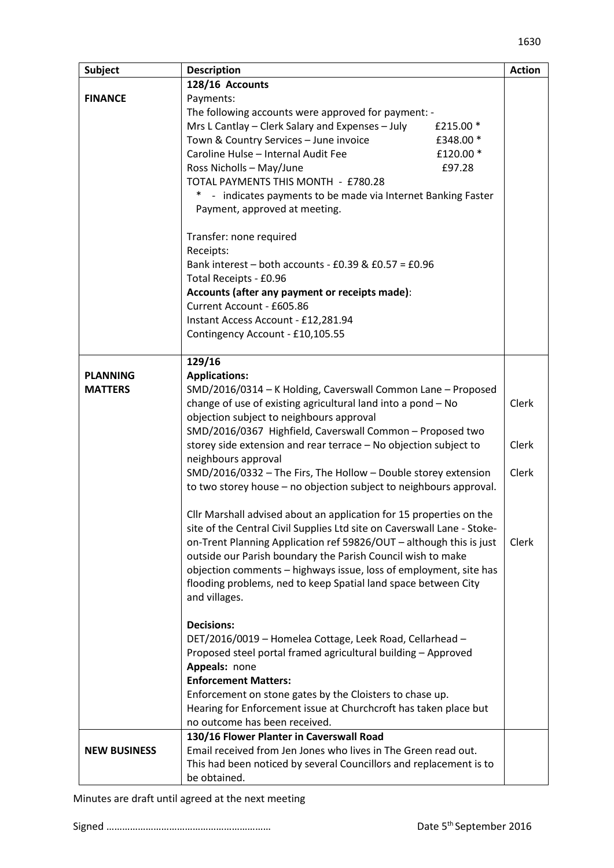| <b>Subject</b>      | <b>Description</b>                                                      | <b>Action</b> |
|---------------------|-------------------------------------------------------------------------|---------------|
|                     | 128/16 Accounts                                                         |               |
| <b>FINANCE</b>      | Payments:                                                               |               |
|                     | The following accounts were approved for payment: -                     |               |
|                     | Mrs L Cantlay - Clerk Salary and Expenses - July<br>£215.00 *           |               |
|                     | Town & Country Services - June invoice<br>£348.00 *                     |               |
|                     | Caroline Hulse - Internal Audit Fee<br>£120.00 *                        |               |
|                     | Ross Nicholls - May/June<br>£97.28                                      |               |
|                     | TOTAL PAYMENTS THIS MONTH - £780.28                                     |               |
|                     | * - indicates payments to be made via Internet Banking Faster           |               |
|                     | Payment, approved at meeting.                                           |               |
|                     | Transfer: none required                                                 |               |
|                     | Receipts:                                                               |               |
|                     | Bank interest - both accounts - £0.39 & $£0.57 = £0.96$                 |               |
|                     | Total Receipts - £0.96                                                  |               |
|                     | Accounts (after any payment or receipts made):                          |               |
|                     | Current Account - £605.86                                               |               |
|                     | Instant Access Account - £12,281.94                                     |               |
|                     | Contingency Account - £10,105.55                                        |               |
|                     |                                                                         |               |
|                     | 129/16                                                                  |               |
| <b>PLANNING</b>     | <b>Applications:</b>                                                    |               |
| <b>MATTERS</b>      | SMD/2016/0314 - K Holding, Caverswall Common Lane - Proposed            |               |
|                     | change of use of existing agricultural land into a pond - No            | Clerk         |
|                     | objection subject to neighbours approval                                |               |
|                     | SMD/2016/0367 Highfield, Caverswall Common - Proposed two               |               |
|                     | storey side extension and rear terrace - No objection subject to        | Clerk         |
|                     | neighbours approval                                                     |               |
|                     | SMD/2016/0332 - The Firs, The Hollow - Double storey extension          | Clerk         |
|                     | to two storey house - no objection subject to neighbours approval.      |               |
|                     | Cllr Marshall advised about an application for 15 properties on the     |               |
|                     | site of the Central Civil Supplies Ltd site on Caverswall Lane - Stoke- |               |
|                     | on-Trent Planning Application ref 59826/OUT - although this is just     | Clerk         |
|                     | outside our Parish boundary the Parish Council wish to make             |               |
|                     | objection comments - highways issue, loss of employment, site has       |               |
|                     | flooding problems, ned to keep Spatial land space between City          |               |
|                     | and villages.                                                           |               |
|                     |                                                                         |               |
|                     | <b>Decisions:</b>                                                       |               |
|                     | DET/2016/0019 - Homelea Cottage, Leek Road, Cellarhead -                |               |
|                     | Proposed steel portal framed agricultural building - Approved           |               |
|                     | Appeals: none                                                           |               |
|                     | <b>Enforcement Matters:</b>                                             |               |
|                     | Enforcement on stone gates by the Cloisters to chase up.                |               |
|                     | Hearing for Enforcement issue at Churchcroft has taken place but        |               |
|                     | no outcome has been received.                                           |               |
|                     | 130/16 Flower Planter in Caverswall Road                                |               |
| <b>NEW BUSINESS</b> | Email received from Jen Jones who lives in The Green read out.          |               |
|                     | This had been noticed by several Councillors and replacement is to      |               |
|                     | be obtained.                                                            |               |